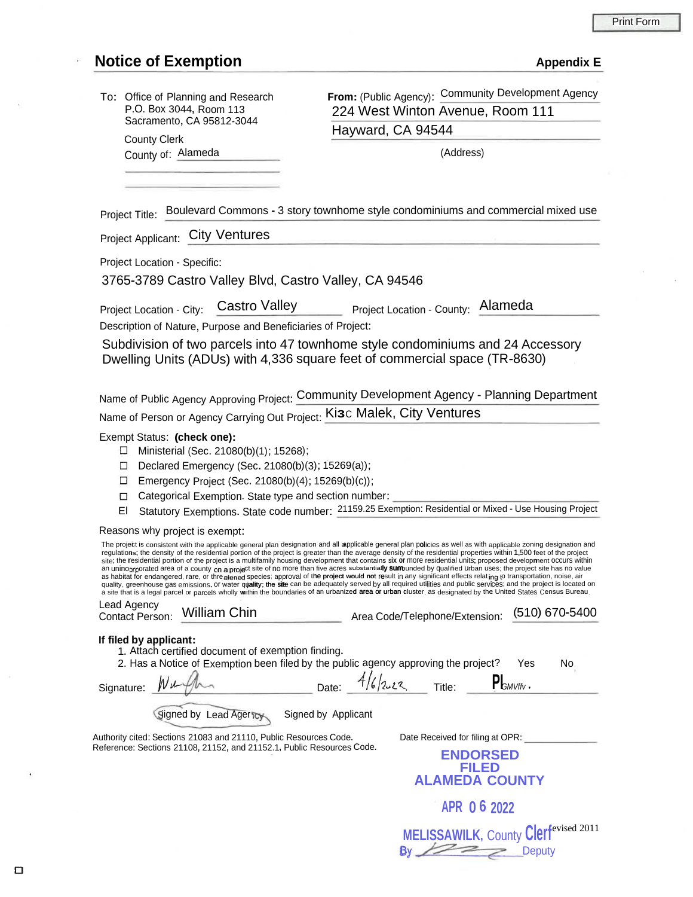### Print Form

## **Notice** of **Exemption Appendix E**

| To: Office of Planning and Research |
|-------------------------------------|
| P.O. Box 3044, Room 113             |
| Sacramento, CA 95812-3044           |

**From:** (Public Agency): Community Development Agency 224 West Winton Avenue, Room 111 Hayward, CA 94544

County Clerk County of: Alameda (Address)

**MELISSAWILK, County Clerf**evised 2011

 $\geq$ 

**Deputy** 

Boulevard Commons - 3 story townhome style condominiums and commercial mixed use Project Title:

Project Applicant: City Ventures

Project Location - Specific:

3765-3789 Castro Valley Blvd, Castro Valley, CA 94546

Project Location - City: Castro Valley Project Location - County: Alameda

Description of Nature, Purpose and Beneficiaries of Project:

Subdivision of two parcels into 47 townhome style condominiums and 24 Accessory Dwelling Units (ADUs) with 4,336 square feet of commercial space (TR-8630)

Name of Public Agency Approving Project: Community Development Agency - Planning Department Name of Person or Agency Carrying Out Project: Ki**3**<sup>C</sup> Malek, City Ventures

### Exempt Status: **(check one):**

- $\Box$  Ministerial (Sec. 21080(b)(1); 15268);
- Declared Emergency (Sec. 21080(b)(3); 15269(a));
- Emergency Project (Sec. 21080(b)(4); 15269(b)(c));
- Categorical Exemption. State type and section number:
- El Statutory Exemptions. State code number: 21159.25 Exemption: Residential or Mixed Use Housing Project

Reasons why project is exempt:

|                                                                                                                                            | The project is consistent with the applicable general plan designation and all applicable general plan policies as well as with applicable zoning designation and<br>regulations; the density of the residential portion of the project is greater than the average density of the residential properties within 1,500 feet of the project<br>site; the residential portion of the project is a multifamily housing development that contains six or more residential units; proposed development occurs within<br>an uninoprporated area of a county on a project site of no more than five acres substantially sumbunded by qualified urban uses; the project site has no value<br>as habitat for endangered, rare, or threatened species; approval of the project would not result in any significant effects relating to transportation, noise, air<br>quality, greenhouse gas emissions, or water quality; the site can be adequately served by all required utilities and public services; and the project is located on<br>a site that is a legal parcel or parcels wholly within the boundaries of an urbanized area or urban cluster, as designated by the United States Census Bureau. |                              |                                |                                                                              |             |                |                |    |
|--------------------------------------------------------------------------------------------------------------------------------------------|--------------------------------------------------------------------------------------------------------------------------------------------------------------------------------------------------------------------------------------------------------------------------------------------------------------------------------------------------------------------------------------------------------------------------------------------------------------------------------------------------------------------------------------------------------------------------------------------------------------------------------------------------------------------------------------------------------------------------------------------------------------------------------------------------------------------------------------------------------------------------------------------------------------------------------------------------------------------------------------------------------------------------------------------------------------------------------------------------------------------------------------------------------------------------------------------------|------------------------------|--------------------------------|------------------------------------------------------------------------------|-------------|----------------|----------------|----|
| Lead Agency<br><b>William Chin</b><br>Contact Person:                                                                                      |                                                                                                                                                                                                                                                                                                                                                                                                                                                                                                                                                                                                                                                                                                                                                                                                                                                                                                                                                                                                                                                                                                                                                                                                  |                              | Area Code/Telephone/Extension: |                                                                              |             |                | (510) 670-5400 |    |
| If filed by applicant:<br>Signature:                                                                                                       | 1. Attach certified document of exemption finding.<br>2. Has a Notice of Exemption been filed by the public agency approving the project?<br>Signed by Lead Agericy                                                                                                                                                                                                                                                                                                                                                                                                                                                                                                                                                                                                                                                                                                                                                                                                                                                                                                                                                                                                                              | Date:<br>Signed by Applicant |                                |                                                                              | Title:      | $P_{GMVffv}$ , | Yes            | No |
| Authority cited: Sections 21083 and 21110, Public Resources Code.<br>Reference: Sections 21108, 21152, and 21152.1, Public Resources Code. |                                                                                                                                                                                                                                                                                                                                                                                                                                                                                                                                                                                                                                                                                                                                                                                                                                                                                                                                                                                                                                                                                                                                                                                                  |                              |                                | Date Received for filing at OPR:<br><b>ENDORSED</b><br><b>ALAMEDA COUNTY</b> |             |                |                |    |
|                                                                                                                                            |                                                                                                                                                                                                                                                                                                                                                                                                                                                                                                                                                                                                                                                                                                                                                                                                                                                                                                                                                                                                                                                                                                                                                                                                  |                              |                                |                                                                              | APR 06 2022 |                |                |    |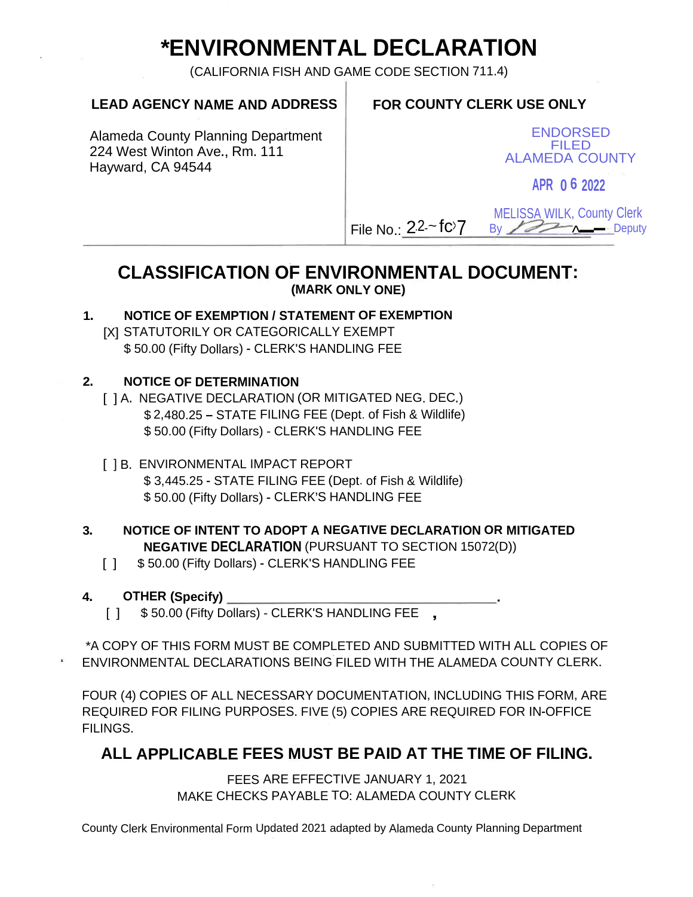# **\*ENVIRONMENTAL DECLARATION**

(CALIFORNIA FISH AND GAME CODE SECTION 711.4)

### **LEAD AGENCY NAME AND ADDRESS FOR COUNTY CLERK USE ONLY**

Alameda County Planning Department 224 West Winton Ave., Rm. 111 Hayward, CA 94544

ENDORSED FILED ALAMEDA COUNTY

**APR 0 6 2022**

MELISSA WILK, County Clerk  $\n **B**$   $\n **W**$   $\n **W**$ 

**CLASSIFICATION OF ENVIRONMENTAL DOCUMENT: (MARK ONLY ONE)**

File No.:  $22 - f c$ 

# **1. NOTICE OF EXEMPTION / STATEMENT OF EXEMPTION**

[X] STATUTORILY OR CATEGORICALLY EXEMPT \$ 50.00 (Fifty Dollars) - CLERK'S HANDLING FEE

### **NOTICE OF DETERMINATION 2**.

- [ ] A. NEGATIVE DECLARATION (OR MITIGATED NEG. DEC.) \$ 2,480.25 - STATE FILING FEE (Dept. of Fish & Wildlife) \$ 50.00 (Fifty Dollars) - CLERK'S HANDLING FEE
- [ ] B. ENVIRONMENTAL IMPACT REPORT \$ 3,445.25 - STATE FILING FEE (Dept, of Fish & Wildlife) \$ 50.00 (Fifty Dollars) - CLERK'S HANDLING FEE

### **3. NOTICE OF INTENT TO ADOPT A NEGATIVE DECLARATION OR MITIGATED NEGATIVE DECLARATION** (PURSUANT TO SECTION 15072(D))

[ ] \$50.00 (Fifty Dollars) - CLERK'S HANDLING FEE

### **4. OTHER (Specify)**

[ ] \$50.00 (Fifty Dollars) - CLERK'S HANDLING FEE ,

\*A COPY OF THIS FORM MUST BE COMPLETED AND SUBMITTED WITH ALL COPIES OF ENVIRONMENTAL DECLARATIONS BEING FILED WITH THE ALAMEDA COUNTY CLERK.

FOUR (4) COPIES OF ALL NECESSARY DOCUMENTATION, INCLUDING THIS FORM, ARE REQUIRED FOR FILING PURPOSES. FIVE (5) COPIES ARE REQUIRED FOR IN-OFFICE FILINGS.

# **ALL APPLICABLE FEES MUST BE PAID AT THE TIME OF FILING.**

FEES ARE EFFECTIVE JANUARY 1, 2021 MAKE CHECKS PAYABLE TO: ALAMEDA COUNTY CLERK

County Clerk Environmental Form Updated 2021 adapted by Alameda County Planning Department